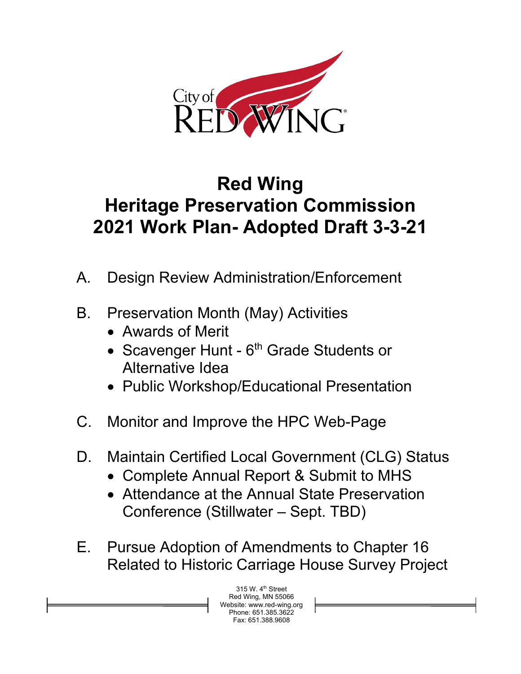

## **Red Wing Heritage Preservation Commission 2021 Work Plan- Adopted Draft 3-3-21**

- A. Design Review Administration/Enforcement
- B. Preservation Month (May) Activities
	- Awards of Merit
	- Scavenger Hunt 6<sup>th</sup> Grade Students or Alternative Idea
	- Public Workshop/Educational Presentation
- C. Monitor and Improve the HPC Web-Page
- D. Maintain Certified Local Government (CLG) Status
	- Complete Annual Report & Submit to MHS
	- Attendance at the Annual State Preservation Conference (Stillwater – Sept. TBD)
- E. Pursue Adoption of Amendments to Chapter 16 Related to Historic Carriage House Survey Project

315 W. 4th Street Red Wing, MN 55066 te: www.red-wing.org ne: 651.385.3622 Fax: 651.388.9608